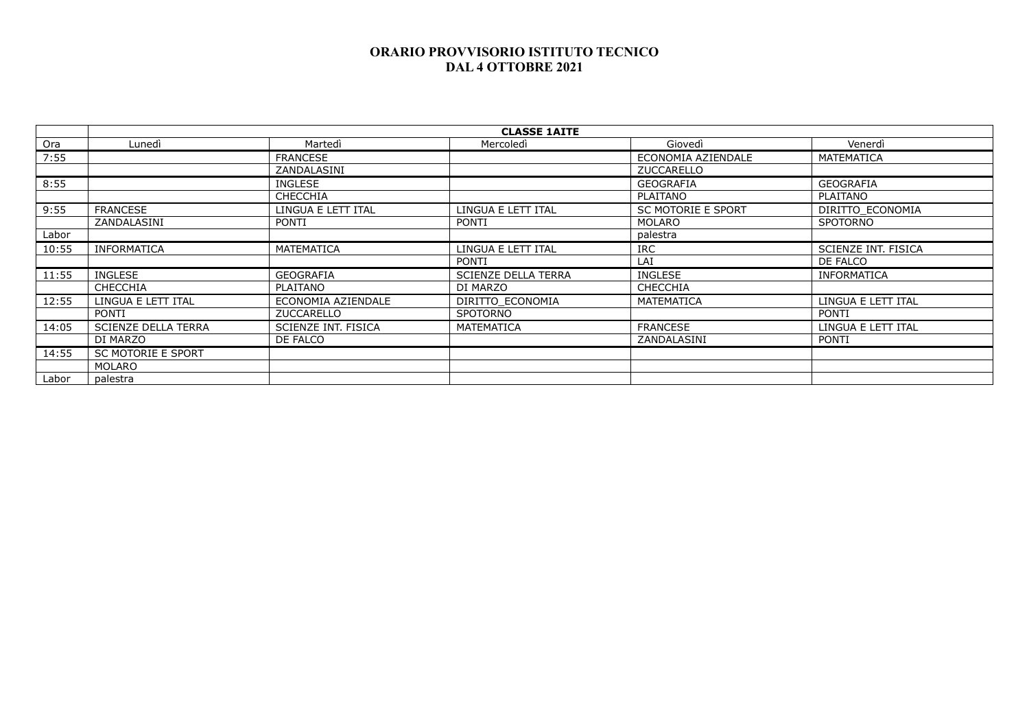|       | <b>CLASSE 1AITE</b>        |                     |                            |                           |                     |  |  |
|-------|----------------------------|---------------------|----------------------------|---------------------------|---------------------|--|--|
| Ora   | Lunedì                     | Martedì             | Mercoledì                  | Giovedì                   | Venerdì             |  |  |
| 7:55  |                            | <b>FRANCESE</b>     |                            | ECONOMIA AZIENDALE        | MATEMATICA          |  |  |
|       |                            | ZANDALASINI         |                            | <b>ZUCCARELLO</b>         |                     |  |  |
| 8:55  |                            | <b>INGLESE</b>      |                            | <b>GEOGRAFIA</b>          | <b>GEOGRAFIA</b>    |  |  |
|       |                            | <b>CHECCHIA</b>     |                            | <b>PLAITANO</b>           | PLAITANO            |  |  |
| 9:55  | <b>FRANCESE</b>            | LINGUA E LETT ITAL  | LINGUA E LETT ITAL         | <b>SC MOTORIE E SPORT</b> | DIRITTO ECONOMIA    |  |  |
|       | ZANDALASINI                | <b>PONTI</b>        | <b>PONTI</b>               | <b>MOLARO</b>             | <b>SPOTORNO</b>     |  |  |
| Labor |                            |                     |                            | palestra                  |                     |  |  |
| 10:55 | <b>INFORMATICA</b>         | MATEMATICA          | LINGUA E LETT ITAL         | <b>IRC</b>                | SCIENZE INT. FISICA |  |  |
|       |                            |                     | PONTI                      | LAI                       | DE FALCO            |  |  |
| 11:55 | INGLESE                    | <b>GEOGRAFIA</b>    | <b>SCIENZE DELLA TERRA</b> | INGLESE                   | <b>INFORMATICA</b>  |  |  |
|       | <b>CHECCHIA</b>            | PLAITANO            | DI MARZO                   | <b>CHECCHIA</b>           |                     |  |  |
| 12:55 | LINGUA E LETT ITAL         | ECONOMIA AZIENDALE  | DIRITTO ECONOMIA           | MATEMATICA                | LINGUA E LETT ITAL  |  |  |
|       | PONTI                      | ZUCCARELLO          | <b>SPOTORNO</b>            |                           | PONTI               |  |  |
| 14:05 | <b>SCIENZE DELLA TERRA</b> | SCIENZE INT. FISICA | MATEMATICA                 | <b>FRANCESE</b>           | LINGUA E LETT ITAL  |  |  |
|       | DI MARZO                   | DE FALCO            |                            | ZANDALASINI               | PONTI               |  |  |
| 14:55 | <b>SC MOTORIE E SPORT</b>  |                     |                            |                           |                     |  |  |
|       | MOLARO                     |                     |                            |                           |                     |  |  |
| Labor | palestra                   |                     |                            |                           |                     |  |  |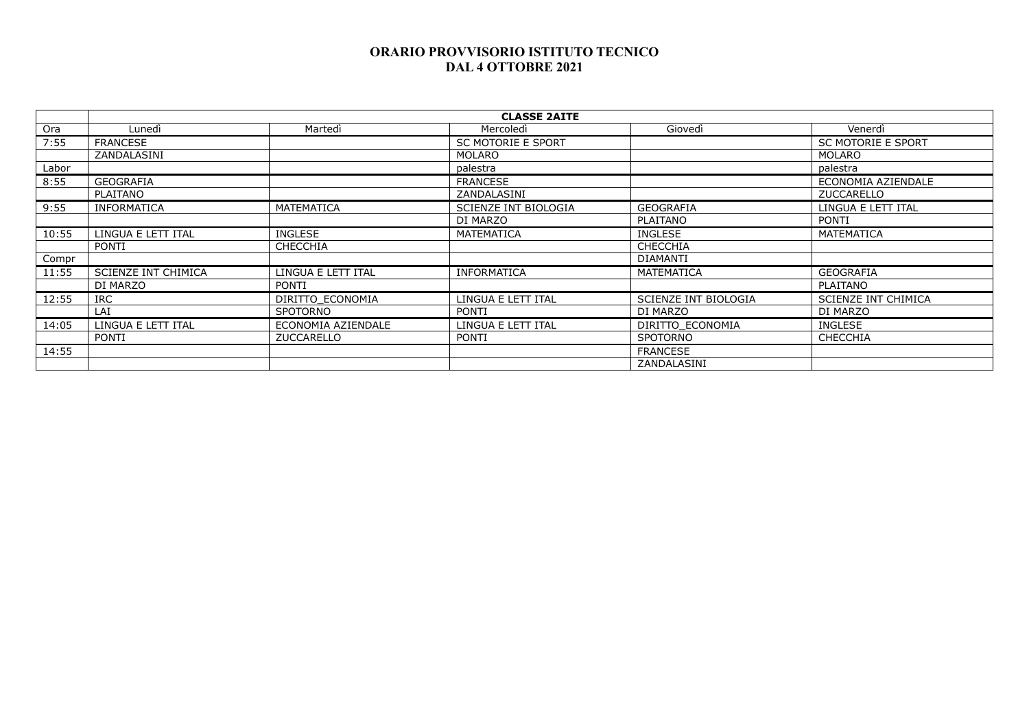|       | <b>CLASSE 2AITE</b>        |                    |                      |                      |                           |  |  |
|-------|----------------------------|--------------------|----------------------|----------------------|---------------------------|--|--|
| Ora   | Lunedì                     | Martedì            | Mercoledì            | Giovedì              | Venerdì                   |  |  |
| 7:55  | <b>FRANCESE</b>            |                    | SC MOTORIE E SPORT   |                      | <b>SC MOTORIE E SPORT</b> |  |  |
|       | ZANDALASINI                |                    | MOLARO               |                      | <b>MOLARO</b>             |  |  |
| Labor |                            |                    | palestra             |                      | palestra                  |  |  |
| 8:55  | <b>GEOGRAFIA</b>           |                    | <b>FRANCESE</b>      |                      | ECONOMIA AZIENDALE        |  |  |
|       | PLAITANO                   |                    | ZANDALASINI          |                      | ZUCCARELLO                |  |  |
| 9:55  | <b>INFORMATICA</b>         | <b>MATEMATICA</b>  | SCIENZE INT BIOLOGIA | <b>GEOGRAFIA</b>     | LINGUA E LETT ITAL        |  |  |
|       |                            |                    | DI MARZO             | PLAITANO             | PONTI                     |  |  |
| 10:55 | LINGUA E LETT ITAL         | <b>INGLESE</b>     | MATEMATICA           | <b>INGLESE</b>       | MATEMATICA                |  |  |
|       | <b>PONTI</b>               | <b>CHECCHIA</b>    |                      | <b>CHECCHIA</b>      |                           |  |  |
| Compr |                            |                    |                      | <b>DIAMANTI</b>      |                           |  |  |
| 11:55 | <b>SCIENZE INT CHIMICA</b> | LINGUA E LETT ITAL | <b>INFORMATICA</b>   | MATEMATICA           | <b>GEOGRAFIA</b>          |  |  |
|       | DI MARZO                   | <b>PONTI</b>       |                      |                      | PLAITANO                  |  |  |
| 12:55 | <b>IRC</b>                 | DIRITTO ECONOMIA   | LINGUA E LETT ITAL   | SCIENZE INT BIOLOGIA | SCIENZE INT CHIMICA       |  |  |
|       | LAI                        | <b>SPOTORNO</b>    | <b>PONTI</b>         | DI MARZO             | DI MARZO                  |  |  |
| 14:05 | LINGUA E LETT ITAL         | ECONOMIA AZIENDALE | LINGUA E LETT ITAL   | DIRITTO ECONOMIA     | INGLESE                   |  |  |
|       | <b>PONTI</b>               | <b>ZUCCARELLO</b>  | <b>PONTI</b>         | <b>SPOTORNO</b>      | <b>CHECCHIA</b>           |  |  |
| 14:55 |                            |                    |                      | <b>FRANCESE</b>      |                           |  |  |
|       |                            |                    |                      | ZANDALASINI          |                           |  |  |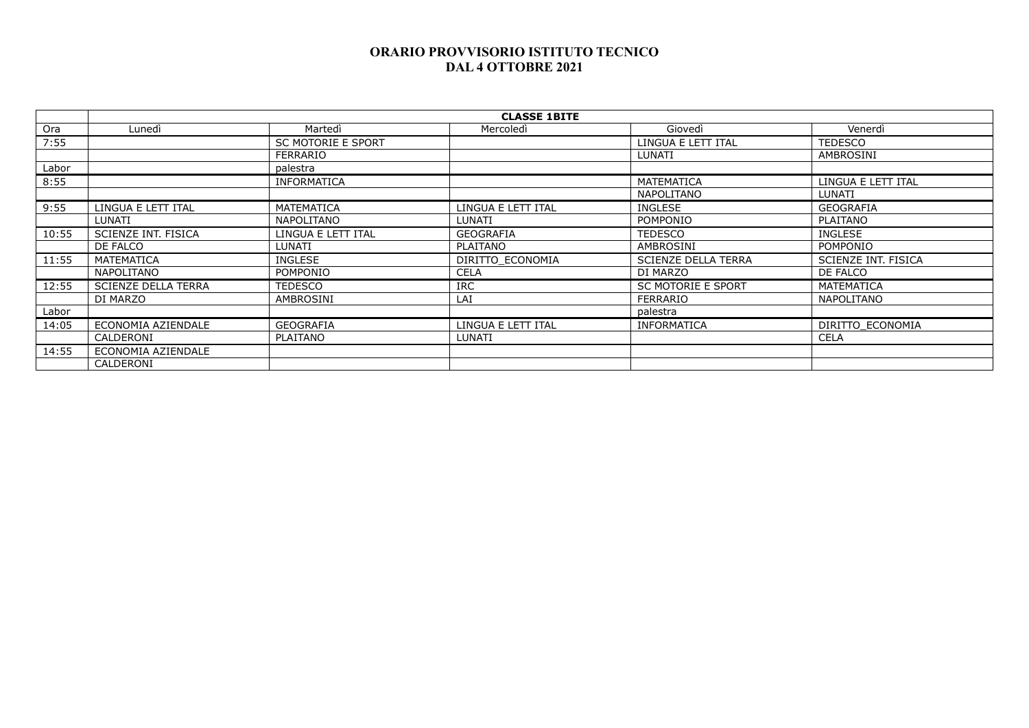|       | <b>CLASSE 1BITE</b>        |                           |                    |                           |                     |  |  |
|-------|----------------------------|---------------------------|--------------------|---------------------------|---------------------|--|--|
| Ora   | Lunedì                     | Martedì                   | Mercoledì          | Giovedì                   | Venerdì             |  |  |
| 7:55  |                            | <b>SC MOTORIE E SPORT</b> |                    | LINGUA E LETT ITAL        | <b>TEDESCO</b>      |  |  |
|       |                            | <b>FERRARIO</b>           |                    | <b>LUNATI</b>             | AMBROSINI           |  |  |
| Labor |                            | palestra                  |                    |                           |                     |  |  |
| 8:55  |                            | <b>INFORMATICA</b>        |                    | <b>MATEMATICA</b>         | LINGUA E LETT ITAL  |  |  |
|       |                            |                           |                    | <b>NAPOLITANO</b>         | LUNATI              |  |  |
| 9:55  | LINGUA E LETT ITAL         | <b>MATEMATICA</b>         | LINGUA E LETT ITAL | <b>INGLESE</b>            | <b>GEOGRAFIA</b>    |  |  |
|       | LUNATI                     | <b>NAPOLITANO</b>         | LUNATI             | POMPONIO                  | PLAITANO            |  |  |
| 10:55 | SCIENZE INT. FISICA        | LINGUA E LETT ITAL        | <b>GEOGRAFIA</b>   | <b>TEDESCO</b>            | INGLESE             |  |  |
|       | DE FALCO                   | LUNATI                    | PLAITANO           | AMBROSINI                 | POMPONIO            |  |  |
| 11:55 | MATEMATICA                 | <b>INGLESE</b>            | DIRITTO ECONOMIA   | SCIENZE DELLA TERRA       | SCIENZE INT. FISICA |  |  |
|       | NAPOLITANO                 | POMPONIO                  | <b>CELA</b>        | DI MARZO                  | DE FALCO            |  |  |
| 12:55 | <b>SCIENZE DELLA TERRA</b> | <b>TEDESCO</b>            | <b>IRC</b>         | <b>SC MOTORIE E SPORT</b> | MATEMATICA          |  |  |
|       | DI MARZO                   | AMBROSINI                 | LAI                | <b>FERRARIO</b>           | NAPOLITANO          |  |  |
| Labor |                            |                           |                    | palestra                  |                     |  |  |
| 14:05 | ECONOMIA AZIENDALE         | <b>GEOGRAFIA</b>          | LINGUA E LETT ITAL | <b>INFORMATICA</b>        | DIRITTO ECONOMIA    |  |  |
|       | CALDERONI                  | PLAITANO                  | LUNATI             |                           | <b>CELA</b>         |  |  |
| 14:55 | ECONOMIA AZIENDALE         |                           |                    |                           |                     |  |  |
|       | CALDERONI                  |                           |                    |                           |                     |  |  |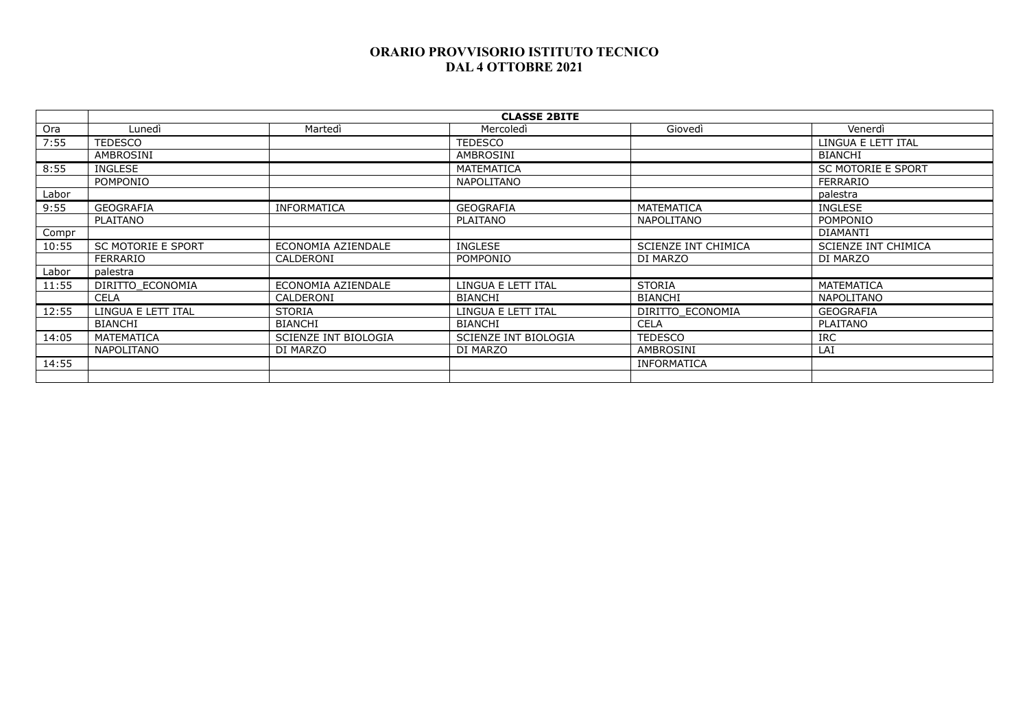|       | <b>CLASSE 2BITE</b>       |                      |                      |                            |                            |  |  |
|-------|---------------------------|----------------------|----------------------|----------------------------|----------------------------|--|--|
| Ora   | Lunedì                    | Martedì              | Mercoledì            | Giovedì                    | Venerdì                    |  |  |
| 7:55  | <b>TEDESCO</b>            |                      | TEDESCO              |                            | LINGUA E LETT ITAL         |  |  |
|       | AMBROSINI                 |                      | AMBROSINI            |                            | <b>BIANCHI</b>             |  |  |
| 8:55  | <b>INGLESE</b>            |                      | MATEMATICA           |                            | <b>SC MOTORIE E SPORT</b>  |  |  |
|       | POMPONIO                  |                      | <b>NAPOLITANO</b>    |                            | <b>FERRARIO</b>            |  |  |
| Labor |                           |                      |                      |                            | palestra                   |  |  |
| 9:55  | <b>GEOGRAFIA</b>          | <b>INFORMATICA</b>   | <b>GEOGRAFIA</b>     | <b>MATEMATICA</b>          | INGLESE                    |  |  |
|       | PLAITANO                  |                      | <b>PLAITANO</b>      | <b>NAPOLITANO</b>          | <b>POMPONIO</b>            |  |  |
| Compr |                           |                      |                      |                            | <b>DIAMANTI</b>            |  |  |
| 10:55 | <b>SC MOTORIE E SPORT</b> | ECONOMIA AZIENDALE   | INGLESE              | <b>SCIENZE INT CHIMICA</b> | <b>SCIENZE INT CHIMICA</b> |  |  |
|       | <b>FERRARIO</b>           | CALDERONI            | <b>POMPONIO</b>      | DI MARZO                   | DI MARZO                   |  |  |
| Labor | palestra                  |                      |                      |                            |                            |  |  |
| 11:55 | DIRITTO ECONOMIA          | ECONOMIA AZIENDALE   | LINGUA E LETT ITAL   | <b>STORIA</b>              | <b>MATEMATICA</b>          |  |  |
|       | <b>CELA</b>               | CALDERONI            | <b>BIANCHI</b>       | <b>BIANCHI</b>             | <b>NAPOLITANO</b>          |  |  |
| 12:55 | LINGUA E LETT ITAL        | <b>STORIA</b>        | LINGUA E LETT ITAL   | DIRITTO ECONOMIA           | <b>GEOGRAFIA</b>           |  |  |
|       | <b>BIANCHI</b>            | <b>BIANCHI</b>       | <b>BIANCHI</b>       | <b>CELA</b>                | <b>PLAITANO</b>            |  |  |
| 14:05 | MATEMATICA                | SCIENZE INT BIOLOGIA | SCIENZE INT BIOLOGIA | <b>TEDESCO</b>             | IRC                        |  |  |
|       | <b>NAPOLITANO</b>         | DI MARZO             | DI MARZO             | AMBROSINI                  | LAI                        |  |  |
| 14:55 |                           |                      |                      | <b>INFORMATICA</b>         |                            |  |  |
|       |                           |                      |                      |                            |                            |  |  |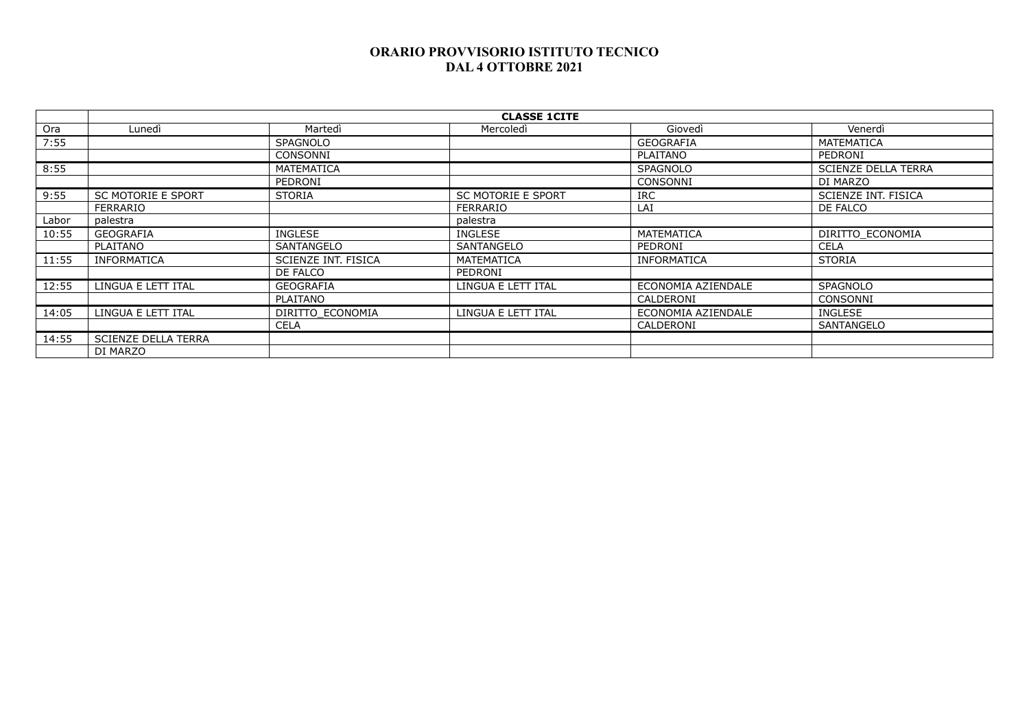|       | <b>CLASSE 1CITE</b>        |                            |                           |                    |                            |  |  |
|-------|----------------------------|----------------------------|---------------------------|--------------------|----------------------------|--|--|
| Ora   | Lunedì                     | Martedì                    | Mercoledì                 | Giovedì            | Venerdì                    |  |  |
| 7:55  |                            | <b>SPAGNOLO</b>            |                           | <b>GEOGRAFIA</b>   | MATEMATICA                 |  |  |
|       |                            | CONSONNI                   |                           | PLAITANO           | PEDRONI                    |  |  |
| 8:55  |                            | <b>MATEMATICA</b>          |                           | <b>SPAGNOLO</b>    | <b>SCIENZE DELLA TERRA</b> |  |  |
|       |                            | PEDRONI                    |                           | CONSONNI           | DI MARZO                   |  |  |
| 9:55  | <b>SC MOTORIE E SPORT</b>  | <b>STORIA</b>              | <b>SC MOTORIE E SPORT</b> | <b>IRC</b>         | SCIENZE INT. FISICA        |  |  |
|       | <b>FERRARIO</b>            |                            | <b>FERRARIO</b>           | LAI                | DE FALCO                   |  |  |
| Labor | palestra                   |                            | palestra                  |                    |                            |  |  |
| 10:55 | <b>GEOGRAFIA</b>           | INGLESE                    | <b>INGLESE</b>            | <b>MATEMATICA</b>  | DIRITTO ECONOMIA           |  |  |
|       | PLAITANO                   | SANTANGELO                 | SANTANGELO                | PEDRONI            | <b>CELA</b>                |  |  |
| 11:55 | <b>INFORMATICA</b>         | <b>SCIENZE INT. FISICA</b> | <b>MATEMATICA</b>         | <b>INFORMATICA</b> | <b>STORIA</b>              |  |  |
|       |                            | DE FALCO                   | <b>PEDRONI</b>            |                    |                            |  |  |
| 12:55 | LINGUA E LETT ITAL         | <b>GEOGRAFIA</b>           | LINGUA E LETT ITAL        | ECONOMIA AZIENDALE | <b>SPAGNOLO</b>            |  |  |
|       |                            | <b>PLAITANO</b>            |                           | CALDERONI          | CONSONNI                   |  |  |
| 14:05 | LINGUA E LETT ITAL         | DIRITTO ECONOMIA           | LINGUA E LETT ITAL        | ECONOMIA AZIENDALE | INGLESE                    |  |  |
|       |                            | <b>CELA</b>                |                           | CALDERONI          | SANTANGELO                 |  |  |
| 14:55 | <b>SCIENZE DELLA TERRA</b> |                            |                           |                    |                            |  |  |
|       | DI MARZO                   |                            |                           |                    |                            |  |  |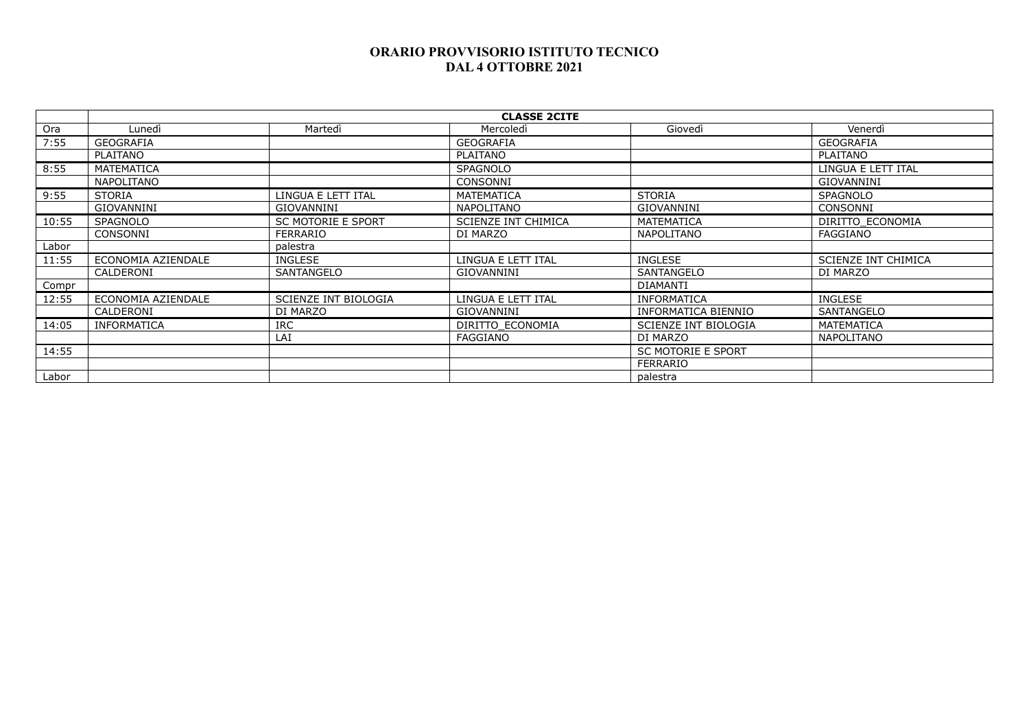|       | <b>CLASSE 2CITE</b> |                             |                     |                             |                     |  |  |
|-------|---------------------|-----------------------------|---------------------|-----------------------------|---------------------|--|--|
| Ora   | Lunedi              | Martedì                     | Mercoledì           | Giovedì                     | Venerdì             |  |  |
| 7:55  | GEOGRAFIA           |                             | <b>GEOGRAFIA</b>    |                             | <b>GEOGRAFIA</b>    |  |  |
|       | PLAITANO            |                             | PLAITANO            |                             | PLAITANO            |  |  |
| 8:55  | <b>MATEMATICA</b>   |                             | SPAGNOLO            |                             | LINGUA E LETT ITAL  |  |  |
|       | <b>NAPOLITANO</b>   |                             | CONSONNI            |                             | <b>GIOVANNINI</b>   |  |  |
| 9:55  | <b>STORIA</b>       | LINGUA E LETT ITAL          | MATEMATICA          | <b>STORIA</b>               | <b>SPAGNOLO</b>     |  |  |
|       | <b>GIOVANNINI</b>   | GIOVANNINI                  | NAPOLITANO          | <b>GIOVANNINI</b>           | CONSONNI            |  |  |
| 10:55 | <b>SPAGNOLO</b>     | SC MOTORIE E SPORT          | SCIENZE INT CHIMICA | MATEMATICA                  | DIRITTO ECONOMIA    |  |  |
|       | CONSONNI            | FERRARIO                    | DI MARZO            | <b>NAPOLITANO</b>           | FAGGIANO            |  |  |
| Labor |                     | palestra                    |                     |                             |                     |  |  |
| 11:55 | ECONOMIA AZIENDALE  | INGLESE                     | LINGUA E LETT ITAL  | INGLESE                     | SCIENZE INT CHIMICA |  |  |
|       | CALDERONI           | SANTANGELO                  | GIOVANNINI          | SANTANGELO                  | DI MARZO            |  |  |
| Compr |                     |                             |                     | <b>DIAMANTI</b>             |                     |  |  |
| 12:55 | ECONOMIA AZIENDALE  | <b>SCIENZE INT BIOLOGIA</b> | LINGUA E LETT ITAL  | <b>INFORMATICA</b>          | INGLESE             |  |  |
|       | CALDERONI           | DI MARZO                    | <b>GIOVANNINI</b>   | INFORMATICA BIENNIO         | SANTANGELO          |  |  |
| 14:05 | <b>INFORMATICA</b>  | <b>IRC</b>                  | DIRITTO ECONOMIA    | <b>SCIENZE INT BIOLOGIA</b> | MATEMATICA          |  |  |
|       |                     | LAI                         | <b>FAGGIANO</b>     | DI MARZO                    | NAPOLITANO          |  |  |
| 14:55 |                     |                             |                     | <b>SC MOTORIE E SPORT</b>   |                     |  |  |
|       |                     |                             |                     | FERRARIO                    |                     |  |  |
| Labor |                     |                             |                     | palestra                    |                     |  |  |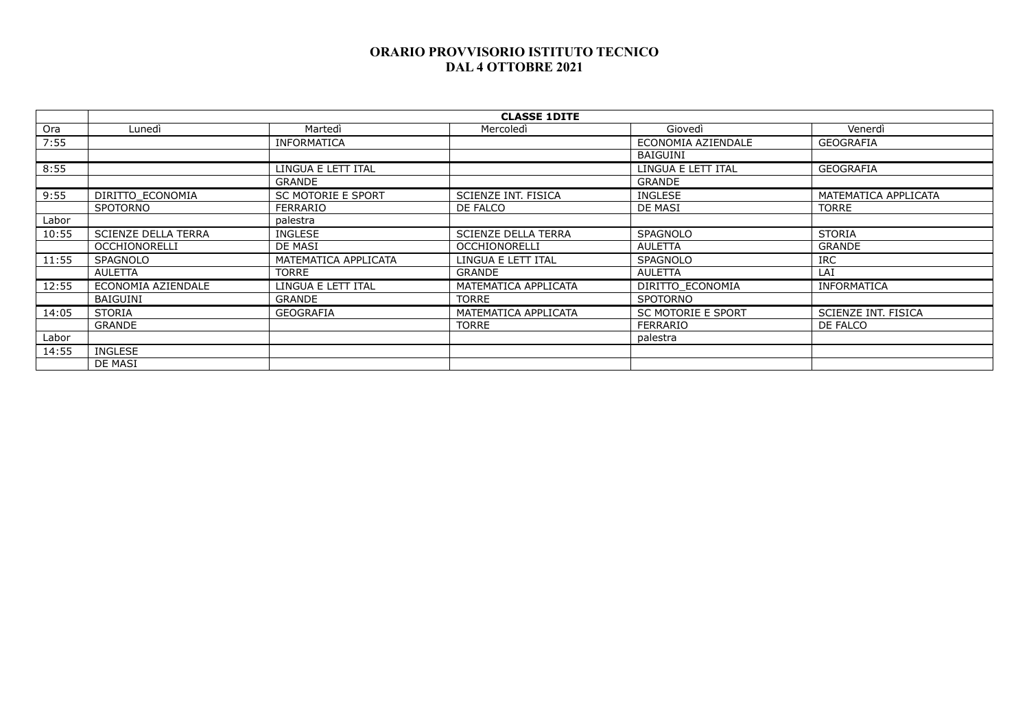|       | <b>CLASSE 1DITE</b>        |                           |                            |                           |                      |  |  |
|-------|----------------------------|---------------------------|----------------------------|---------------------------|----------------------|--|--|
| Ora   | Lunedì                     | Martedì                   | Mercoledì                  | Giovedì                   | Venerdì              |  |  |
| 7:55  |                            | <b>INFORMATICA</b>        |                            | ECONOMIA AZIENDALE        | <b>GEOGRAFIA</b>     |  |  |
|       |                            |                           |                            | BAIGUINI                  |                      |  |  |
| 8:55  |                            | LINGUA E LETT ITAL        |                            | LINGUA E LETT ITAL        | <b>GEOGRAFIA</b>     |  |  |
|       |                            | <b>GRANDE</b>             |                            | GRANDE                    |                      |  |  |
| 9:55  | DIRITTO ECONOMIA           | <b>SC MOTORIE E SPORT</b> | SCIENZE INT. FISICA        | INGLESE                   | MATEMATICA APPLICATA |  |  |
|       | SPOTORNO                   | <b>FERRARIO</b>           | DE FALCO                   | DE MASI                   | <b>TORRE</b>         |  |  |
| Labor |                            | palestra                  |                            |                           |                      |  |  |
| 10:55 | <b>SCIENZE DELLA TERRA</b> | <b>INGLESE</b>            | <b>SCIENZE DELLA TERRA</b> | <b>SPAGNOLO</b>           | <b>STORIA</b>        |  |  |
|       | <b>OCCHIONORELLI</b>       | DE MASI                   | <b>OCCHIONORELLI</b>       | AULETTA                   | <b>GRANDE</b>        |  |  |
| 11:55 | <b>SPAGNOLO</b>            | MATEMATICA APPLICATA      | LINGUA E LETT ITAL         | <b>SPAGNOLO</b>           | <b>IRC</b>           |  |  |
|       | <b>AULETTA</b>             | <b>TORRE</b>              | <b>GRANDE</b>              | AULETTA                   | LAI                  |  |  |
| 12:55 | ECONOMIA AZIENDALE         | LINGUA E LETT ITAL        | MATEMATICA APPLICATA       | DIRITTO ECONOMIA          | <b>INFORMATICA</b>   |  |  |
|       | <b>BAIGUINI</b>            | <b>GRANDE</b>             | <b>TORRE</b>               | SPOTORNO                  |                      |  |  |
| 14:05 | <b>STORIA</b>              | <b>GEOGRAFIA</b>          | MATEMATICA APPLICATA       | <b>SC MOTORIE E SPORT</b> | SCIENZE INT. FISICA  |  |  |
|       | <b>GRANDE</b>              |                           | <b>TORRE</b>               | FERRARIO                  | DE FALCO             |  |  |
| Labor |                            |                           |                            | palestra                  |                      |  |  |
| 14:55 | <b>INGLESE</b>             |                           |                            |                           |                      |  |  |
|       | DE MASI                    |                           |                            |                           |                      |  |  |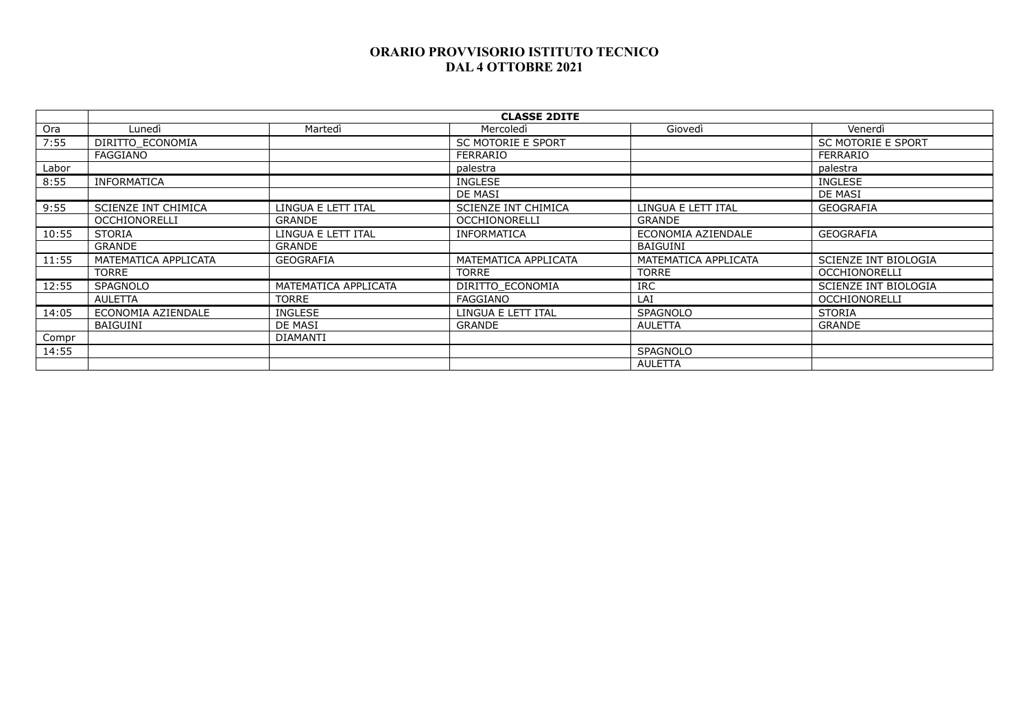|       | <b>CLASSE 2DITE</b>        |                      |                           |                      |                           |  |  |
|-------|----------------------------|----------------------|---------------------------|----------------------|---------------------------|--|--|
| Ora   | Lunedì                     | Martedì              | Mercoledì                 | Giovedì              | Venerdì                   |  |  |
| 7:55  | DIRITTO ECONOMIA           |                      | <b>SC MOTORIE E SPORT</b> |                      | <b>SC MOTORIE E SPORT</b> |  |  |
|       | FAGGIANO                   |                      | FERRARIO                  |                      | FERRARIO                  |  |  |
| Labor |                            |                      | palestra                  |                      | palestra                  |  |  |
| 8:55  | <b>INFORMATICA</b>         |                      | <b>INGLESE</b>            |                      | <b>INGLESE</b>            |  |  |
|       |                            |                      | DE MASI                   |                      | DE MASI                   |  |  |
| 9:55  | <b>SCIENZE INT CHIMICA</b> | LINGUA E LETT ITAL   | SCIENZE INT CHIMICA       | LINGUA E LETT ITAL   | <b>GEOGRAFIA</b>          |  |  |
|       | <b>OCCHIONORELLI</b>       | <b>GRANDE</b>        | <b>OCCHIONORELLI</b>      | GRANDE               |                           |  |  |
| 10:55 | <b>STORIA</b>              | LINGUA E LETT ITAL   | <b>INFORMATICA</b>        | ECONOMIA AZIENDALE   | GEOGRAFIA                 |  |  |
|       | <b>GRANDE</b>              | GRANDE               |                           | BAIGUINI             |                           |  |  |
| 11:55 | MATEMATICA APPLICATA       | GEOGRAFIA            | MATEMATICA APPLICATA      | MATEMATICA APPLICATA | SCIENZE INT BIOLOGIA      |  |  |
|       | TORRE                      |                      | <b>TORRE</b>              | <b>TORRE</b>         | <b>OCCHIONORELLI</b>      |  |  |
| 12:55 | <b>SPAGNOLO</b>            | MATEMATICA APPLICATA | DIRITTO ECONOMIA          | <b>IRC</b>           | SCIENZE INT BIOLOGIA      |  |  |
|       | <b>AULETTA</b>             | <b>TORRE</b>         | FAGGIANO                  | LAI                  | <b>OCCHIONORELLI</b>      |  |  |
| 14:05 | ECONOMIA AZIENDALE         | <b>INGLESE</b>       | LINGUA E LETT ITAL        | <b>SPAGNOLO</b>      | <b>STORIA</b>             |  |  |
|       | <b>BAIGUINI</b>            | DE MASI              | <b>GRANDE</b>             | <b>AULETTA</b>       | <b>GRANDE</b>             |  |  |
| Compr |                            | <b>DIAMANTI</b>      |                           |                      |                           |  |  |
| 14:55 |                            |                      |                           | <b>SPAGNOLO</b>      |                           |  |  |
|       |                            |                      |                           | AULETTA              |                           |  |  |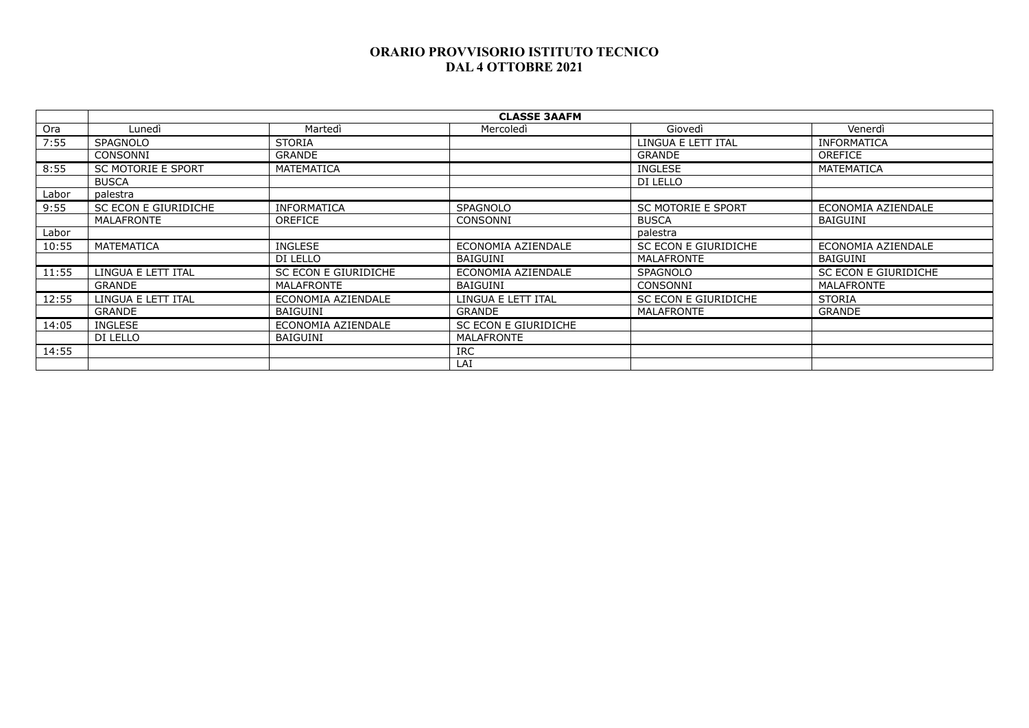| <b>CLASSE 3AAFM</b>       |                      |                      |                           |                      |  |  |
|---------------------------|----------------------|----------------------|---------------------------|----------------------|--|--|
| Lunedì                    | Martedì              | Mercoledì            | Giovedì                   | Venerdì              |  |  |
| <b>SPAGNOLO</b>           | <b>STORIA</b>        |                      | LINGUA E LETT ITAL        | <b>INFORMATICA</b>   |  |  |
| CONSONNI                  | <b>GRANDE</b>        |                      | <b>GRANDE</b>             | <b>OREFICE</b>       |  |  |
| <b>SC MOTORIE E SPORT</b> | MATEMATICA           |                      | <b>INGLESE</b>            | MATEMATICA           |  |  |
| <b>BUSCA</b>              |                      |                      | DI LELLO                  |                      |  |  |
| palestra                  |                      |                      |                           |                      |  |  |
| SC ECON E GIURIDICHE      | INFORMATICA          | <b>SPAGNOLO</b>      | <b>SC MOTORIE E SPORT</b> | ECONOMIA AZIENDALE   |  |  |
| MALAFRONTE                | <b>OREFICE</b>       | CONSONNI             | <b>BUSCA</b>              | <b>BAIGUINI</b>      |  |  |
|                           |                      |                      | palestra                  |                      |  |  |
| MATEMATICA                | <b>INGLESE</b>       | ECONOMIA AZIENDALE   | SC ECON E GIURIDICHE      | ECONOMIA AZIENDALE   |  |  |
|                           | DI LELLO             | BAIGUINI             | <b>MALAFRONTE</b>         | <b>BAIGUINI</b>      |  |  |
| LINGUA E LETT ITAL        | SC ECON E GIURIDICHE | ECONOMIA AZIENDALE   | <b>SPAGNOLO</b>           | SC ECON E GIURIDICHE |  |  |
| <b>GRANDE</b>             | <b>MALAFRONTE</b>    | BAIGUINI             | CONSONNI                  | <b>MALAFRONTE</b>    |  |  |
| LINGUA E LETT ITAL        | ECONOMIA AZIENDALE   | LINGUA E LETT ITAL   | SC ECON E GIURIDICHE      | <b>STORIA</b>        |  |  |
| <b>GRANDE</b>             | <b>BAIGUINI</b>      | <b>GRANDE</b>        | <b>MALAFRONTE</b>         | <b>GRANDE</b>        |  |  |
| <b>INGLESE</b>            | ECONOMIA AZIENDALE   | SC ECON E GIURIDICHE |                           |                      |  |  |
| DI LELLO                  | BAIGUINI             | MALAFRONTE           |                           |                      |  |  |
|                           |                      | <b>IRC</b>           |                           |                      |  |  |
|                           |                      | LAI                  |                           |                      |  |  |
|                           |                      |                      |                           |                      |  |  |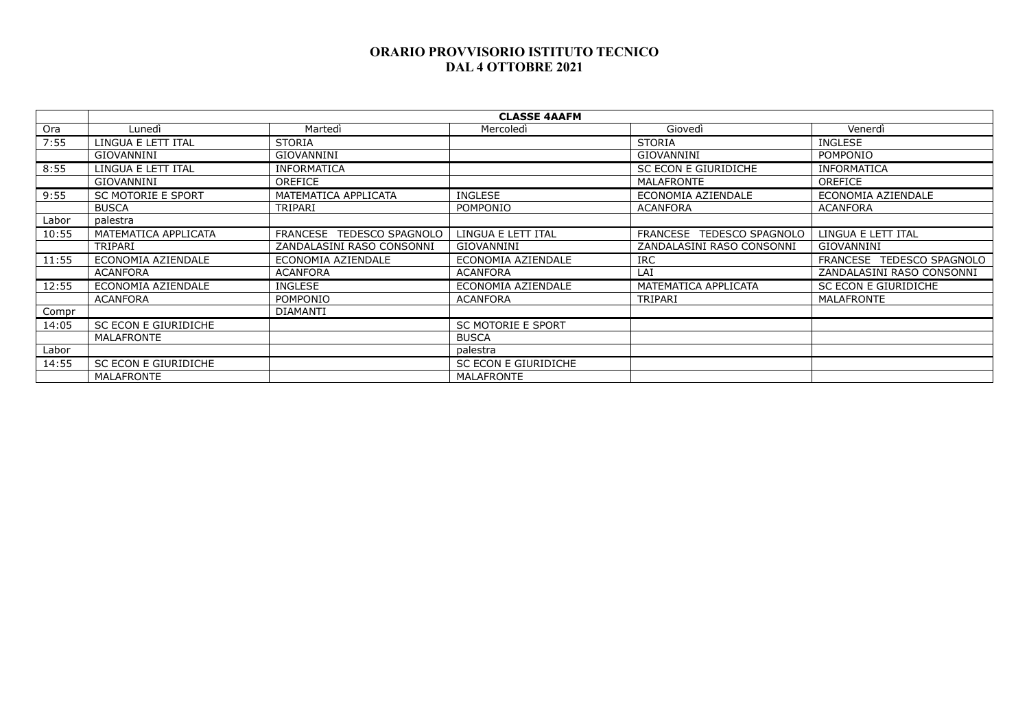|       |                           |                           | <b>CLASSE 4AAFM</b>       |                           |                           |
|-------|---------------------------|---------------------------|---------------------------|---------------------------|---------------------------|
| Ora   | Lunedì                    | Martedì                   | Mercoledì                 | Giovedì                   | Venerdì                   |
| 7:55  | LINGUA E LETT ITAL        | <b>STORIA</b>             |                           | <b>STORIA</b>             | <b>INGLESE</b>            |
|       | GIOVANNINI                | GIOVANNINI                |                           | <b>GIOVANNINI</b>         | POMPONIO                  |
| 8:55  | LINGUA E LETT ITAL        | <b>INFORMATICA</b>        |                           | SC ECON E GIURIDICHE      | <b>INFORMATICA</b>        |
|       | GIOVANNINI                | <b>OREFICE</b>            |                           | <b>MALAFRONTE</b>         | <b>OREFICE</b>            |
| 9:55  | <b>SC MOTORIE E SPORT</b> | MATEMATICA APPLICATA      | INGLESE                   | ECONOMIA AZIENDALE        | ECONOMIA AZIENDALE        |
|       | <b>BUSCA</b>              | TRIPARI                   | <b>POMPONIO</b>           | <b>ACANFORA</b>           | <b>ACANFORA</b>           |
| Labor | palestra                  |                           |                           |                           |                           |
| 10:55 | MATEMATICA APPLICATA      | FRANCESE TEDESCO SPAGNOLO | LINGUA E LETT ITAL        | FRANCESE TEDESCO SPAGNOLO | LINGUA E LETT ITAL        |
|       | TRIPARI                   | ZANDALASINI RASO CONSONNI | GIOVANNINI                | ZANDALASINI RASO CONSONNI | GIOVANNINI                |
| 11:55 | ECONOMIA AZIENDALE        | ECONOMIA AZIENDALE        | ECONOMIA AZIENDALE        | <b>IRC</b>                | FRANCESE TEDESCO SPAGNOLO |
|       | ACANFORA                  | <b>ACANFORA</b>           | <b>ACANFORA</b>           | LAI                       | ZANDALASINI RASO CONSONNI |
| 12:55 | ECONOMIA AZIENDALE        | <b>INGLESE</b>            | ECONOMIA AZIENDALE        | MATEMATICA APPLICATA      | SC ECON E GIURIDICHE      |
|       | <b>ACANFORA</b>           | <b>POMPONIO</b>           | <b>ACANFORA</b>           | TRIPARI                   | MALAFRONTE                |
| Compr |                           | DIAMANTI                  |                           |                           |                           |
| 14:05 | SC ECON E GIURIDICHE      |                           | <b>SC MOTORIE E SPORT</b> |                           |                           |
|       | MALAFRONTE                |                           | <b>BUSCA</b>              |                           |                           |
| Labor |                           |                           | palestra                  |                           |                           |
| 14:55 | SC ECON E GIURIDICHE      |                           | SC ECON E GIURIDICHE      |                           |                           |
|       | MALAFRONTE                |                           | MALAFRONTE                |                           |                           |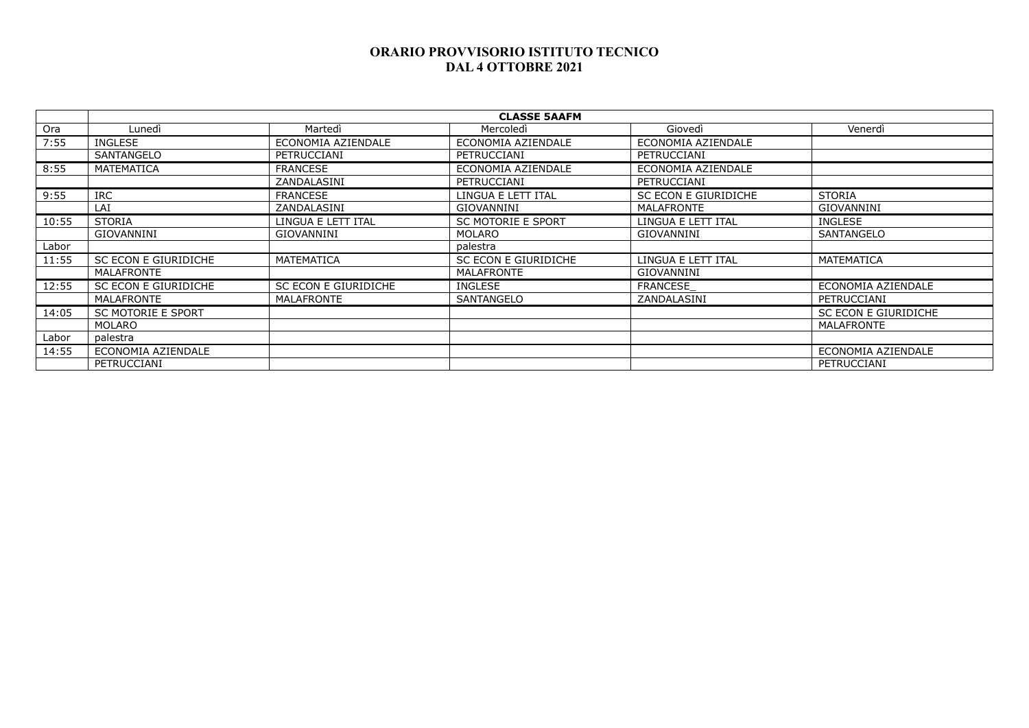|       | <b>CLASSE 5AAFM</b>       |                      |                           |                      |                      |  |  |
|-------|---------------------------|----------------------|---------------------------|----------------------|----------------------|--|--|
| Ora   | Lunedì                    | Martedì              | Mercoledì                 | Giovedì              | Venerdì              |  |  |
| 7:55  | <b>INGLESE</b>            | ECONOMIA AZIENDALE   | ECONOMIA AZIENDALE        | ECONOMIA AZIENDALE   |                      |  |  |
|       | SANTANGELO                | PETRUCCIANI          | PETRUCCIANI               | PETRUCCIANI          |                      |  |  |
| 8:55  | MATEMATICA                | <b>FRANCESE</b>      | ECONOMIA AZIENDALE        | ECONOMIA AZIENDALE   |                      |  |  |
|       |                           | ZANDALASINI          | PETRUCCIANI               | PETRUCCIANI          |                      |  |  |
| 9:55  | <b>IRC</b>                | <b>FRANCESE</b>      | LINGUA E LETT ITAL        | SC ECON E GIURIDICHE | <b>STORIA</b>        |  |  |
|       | LAI                       | ZANDALASINI          | <b>GIOVANNINI</b>         | <b>MALAFRONTE</b>    | GIOVANNINI           |  |  |
| 10:55 | <b>STORIA</b>             | LINGUA E LETT ITAL   | <b>SC MOTORIE E SPORT</b> | LINGUA E LETT ITAL   | INGLESE              |  |  |
|       | GIOVANNINI                | <b>GIOVANNINI</b>    | <b>MOLARO</b>             | GIOVANNINI           | SANTANGELO           |  |  |
| Labor |                           |                      | palestra                  |                      |                      |  |  |
| 11:55 | SC ECON E GIURIDICHE      | MATEMATICA           | SC ECON E GIURIDICHE      | LINGUA E LETT ITAL   | MATEMATICA           |  |  |
|       | MALAFRONTE                |                      | MALAFRONTE                | GIOVANNINI           |                      |  |  |
| 12:55 | SC ECON E GIURIDICHE      | SC ECON E GIURIDICHE | <b>INGLESE</b>            | <b>FRANCESE</b>      | ECONOMIA AZIENDALE   |  |  |
|       | MALAFRONTE                | MALAFRONTE           | SANTANGELO                | ZANDALASINI          | PETRUCCIANI          |  |  |
| 14:05 | <b>SC MOTORIE E SPORT</b> |                      |                           |                      | SC ECON E GIURIDICHE |  |  |
|       | <b>MOLARO</b>             |                      |                           |                      | MALAFRONTE           |  |  |
| Labor | palestra                  |                      |                           |                      |                      |  |  |
| 14:55 | ECONOMIA AZIENDALE        |                      |                           |                      | ECONOMIA AZIENDALE   |  |  |
|       | PETRUCCIANI               |                      |                           |                      | PETRUCCIANI          |  |  |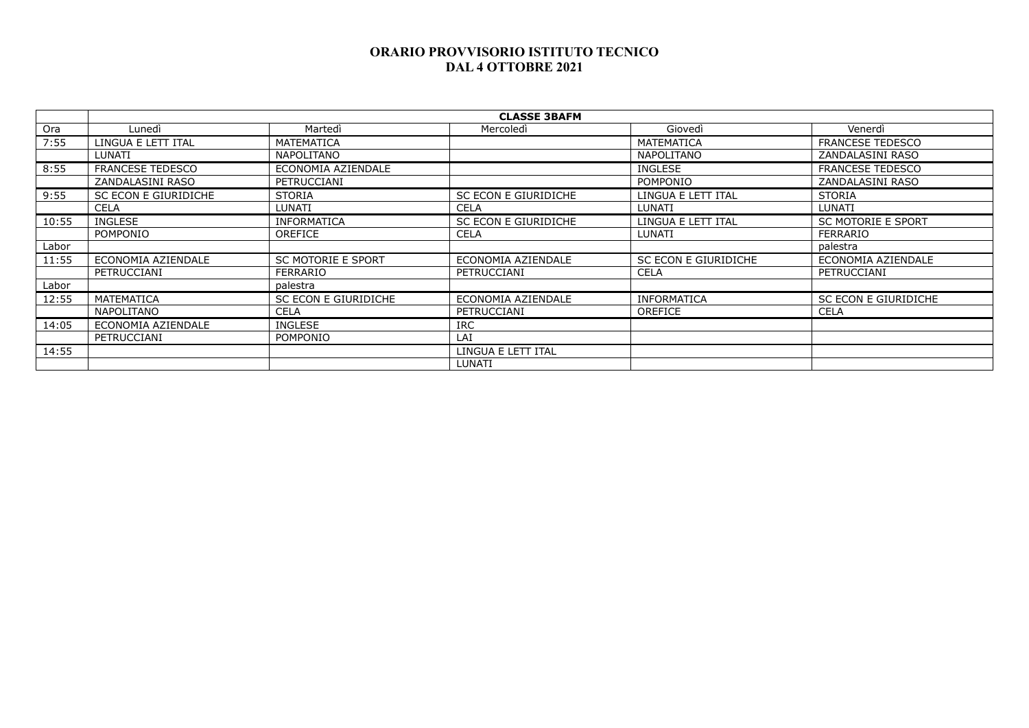|       | <b>CLASSE 3BAFM</b>     |                           |                      |                      |                           |  |
|-------|-------------------------|---------------------------|----------------------|----------------------|---------------------------|--|
| Ora   | Lunedì                  | Martedì                   | Mercoledì            | Giovedì              | Venerdì                   |  |
| 7:55  | LINGUA E LETT ITAL      | MATEMATICA                |                      | MATEMATICA           | <b>FRANCESE TEDESCO</b>   |  |
|       | LUNATI                  | <b>NAPOLITANO</b>         |                      | <b>NAPOLITANO</b>    | ZANDALASINI RASO          |  |
| 8:55  | <b>FRANCESE TEDESCO</b> | ECONOMIA AZIENDALE        |                      | <b>INGLESE</b>       | <b>FRANCESE TEDESCO</b>   |  |
|       | ZANDALASINI RASO        | PETRUCCIANI               |                      | POMPONIO             | ZANDALASINI RASO          |  |
| 9:55  | SC ECON E GIURIDICHE    | <b>STORIA</b>             | SC ECON E GIURIDICHE | LINGUA E LETT ITAL   | <b>STORIA</b>             |  |
|       | <b>CELA</b>             | LUNATI                    | <b>CELA</b>          | LUNATI               | LUNATI                    |  |
| 10:55 | <b>INGLESE</b>          | <b>INFORMATICA</b>        | SC ECON E GIURIDICHE | LINGUA E LETT ITAL   | <b>SC MOTORIE E SPORT</b> |  |
|       | POMPONIO                | <b>OREFICE</b>            | <b>CELA</b>          | LUNATI               | <b>FERRARIO</b>           |  |
| Labor |                         |                           |                      |                      | palestra                  |  |
| 11:55 | ECONOMIA AZIENDALE      | <b>SC MOTORIE E SPORT</b> | ECONOMIA AZIENDALE   | SC ECON E GIURIDICHE | ECONOMIA AZIENDALE        |  |
|       | PETRUCCIANI             | <b>FERRARIO</b>           | PETRUCCIANI          | <b>CELA</b>          | PETRUCCIANI               |  |
| Labor |                         | palestra                  |                      |                      |                           |  |
| 12:55 | <b>MATEMATICA</b>       | SC ECON E GIURIDICHE      | ECONOMIA AZIENDALE   | <b>INFORMATICA</b>   | SC ECON E GIURIDICHE      |  |
|       | <b>NAPOLITANO</b>       | <b>CELA</b>               | PETRUCCIANI          | <b>OREFICE</b>       | <b>CELA</b>               |  |
| 14:05 | ECONOMIA AZIENDALE      | <b>INGLESE</b>            | <b>IRC</b>           |                      |                           |  |
|       | PETRUCCIANI             | <b>POMPONIO</b>           | LAI                  |                      |                           |  |
| 14:55 |                         |                           | LINGUA E LETT ITAL   |                      |                           |  |
|       |                         |                           | LUNATI               |                      |                           |  |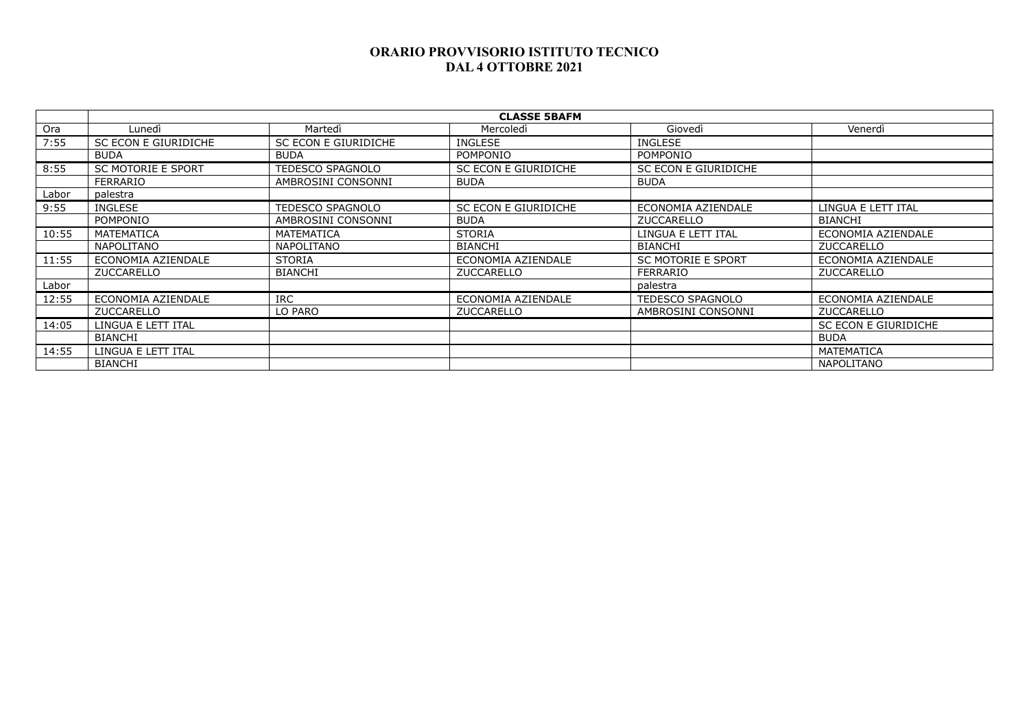|       | <b>CLASSE 5BAFM</b>       |                      |                      |                           |                      |  |
|-------|---------------------------|----------------------|----------------------|---------------------------|----------------------|--|
| Ora   | Lunedì                    | Martedì              | Mercoledì            | Giovedì                   | Venerdì              |  |
| 7:55  | SC ECON E GIURIDICHE      | SC ECON E GIURIDICHE | <b>INGLESE</b>       | <b>INGLESE</b>            |                      |  |
|       | <b>BUDA</b>               | <b>BUDA</b>          | POMPONIO             | POMPONIO                  |                      |  |
| 8:55  | <b>SC MOTORIE E SPORT</b> | TEDESCO SPAGNOLO     | SC ECON E GIURIDICHE | SC ECON E GIURIDICHE      |                      |  |
|       | <b>FERRARIO</b>           | AMBROSINI CONSONNI   | <b>BUDA</b>          | <b>BUDA</b>               |                      |  |
| Labor | palestra                  |                      |                      |                           |                      |  |
| 9:55  | <b>INGLESE</b>            | TEDESCO SPAGNOLO     | SC ECON E GIURIDICHE | ECONOMIA AZIENDALE        | LINGUA E LETT ITAL   |  |
|       | POMPONIO                  | AMBROSINI CONSONNI   | <b>BUDA</b>          | <b>ZUCCARELLO</b>         | <b>BIANCHI</b>       |  |
| 10:55 | MATEMATICA                | MATEMATICA           | <b>STORIA</b>        | LINGUA E LETT ITAL        | ECONOMIA AZIENDALE   |  |
|       | <b>NAPOLITANO</b>         | NAPOLITANO           | <b>BIANCHI</b>       | <b>BIANCHI</b>            | ZUCCARELLO           |  |
| 11:55 | ECONOMIA AZIENDALE        | <b>STORIA</b>        | ECONOMIA AZIENDALE   | <b>SC MOTORIE E SPORT</b> | ECONOMIA AZIENDALE   |  |
|       | ZUCCARELLO                | <b>BIANCHI</b>       | ZUCCARELLO           | FERRARIO                  | ZUCCARELLO           |  |
| Labor |                           |                      |                      | palestra                  |                      |  |
| 12:55 | ECONOMIA AZIENDALE        | <b>IRC</b>           | ECONOMIA AZIENDALE   | <b>TEDESCO SPAGNOLO</b>   | ECONOMIA AZIENDALE   |  |
|       | <b>ZUCCARELLO</b>         | LO PARO              | ZUCCARELLO           | AMBROSINI CONSONNI        | ZUCCARELLO           |  |
| 14:05 | LINGUA E LETT ITAL        |                      |                      |                           | SC ECON E GIURIDICHE |  |
|       | <b>BIANCHI</b>            |                      |                      |                           | <b>BUDA</b>          |  |
| 14:55 | LINGUA E LETT ITAL        |                      |                      |                           | MATEMATICA           |  |
|       | <b>BIANCHI</b>            |                      |                      |                           | <b>NAPOLITANO</b>    |  |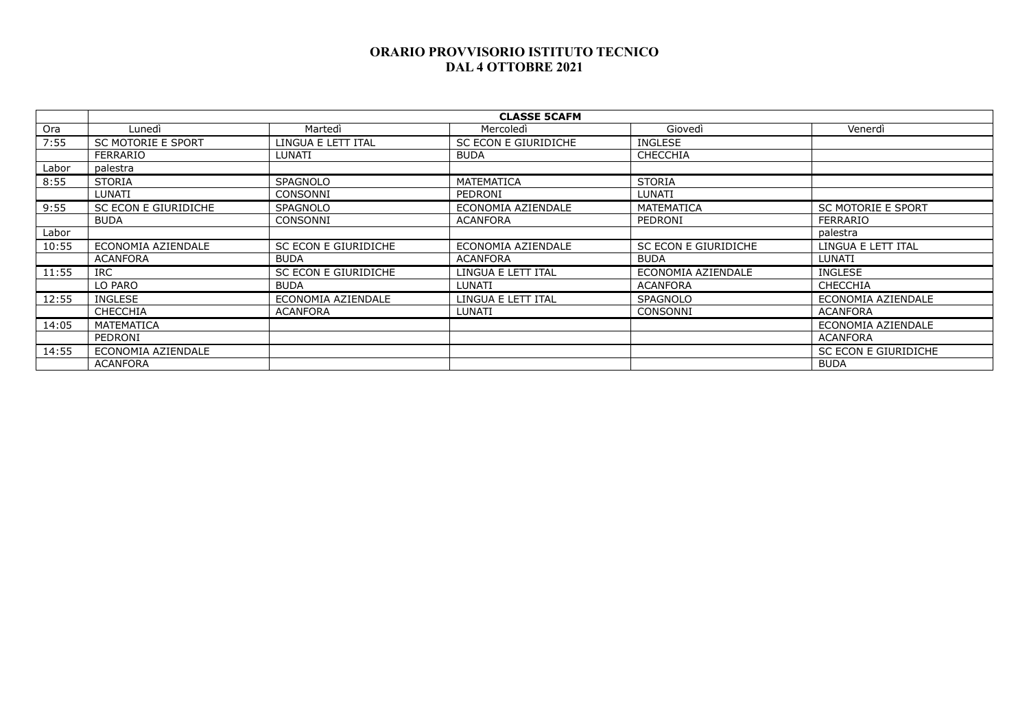|       | <b>CLASSE 5CAFM</b>       |                      |                      |                      |                           |
|-------|---------------------------|----------------------|----------------------|----------------------|---------------------------|
| Ora   | Lunedì                    | Martedì              | Mercoledì            | Giovedì              | Venerdì                   |
| 7:55  | <b>SC MOTORIE E SPORT</b> | LINGUA E LETT ITAL   | SC ECON E GIURIDICHE | <b>INGLESE</b>       |                           |
|       | <b>FERRARIO</b>           | <b>LUNATI</b>        | <b>BUDA</b>          | <b>CHECCHIA</b>      |                           |
| Labor | palestra                  |                      |                      |                      |                           |
| 8:55  | <b>STORIA</b>             | <b>SPAGNOLO</b>      | <b>MATEMATICA</b>    | <b>STORIA</b>        |                           |
|       | LUNATI                    | CONSONNI             | PEDRONI              | LUNATI               |                           |
| 9:55  | SC ECON E GIURIDICHE      | <b>SPAGNOLO</b>      | ECONOMIA AZIENDALE   | <b>MATEMATICA</b>    | <b>SC MOTORIE E SPORT</b> |
|       | <b>BUDA</b>               | <b>CONSONNI</b>      | <b>ACANFORA</b>      | PEDRONI              | <b>FERRARIO</b>           |
| Labor |                           |                      |                      |                      | palestra                  |
| 10:55 | ECONOMIA AZIENDALE        | SC ECON E GIURIDICHE | ECONOMIA AZIENDALE   | SC ECON E GIURIDICHE | LINGUA E LETT ITAL        |
|       | <b>ACANFORA</b>           | <b>BUDA</b>          | <b>ACANFORA</b>      | <b>BUDA</b>          | <b>LUNATI</b>             |
| 11:55 | <b>IRC</b>                | SC ECON E GIURIDICHE | LINGUA E LETT ITAL   | ECONOMIA AZIENDALE   | <b>INGLESE</b>            |
|       | LO PARO                   | <b>BUDA</b>          | LUNATI               | <b>ACANFORA</b>      | <b>CHECCHIA</b>           |
| 12:55 | <b>INGLESE</b>            | ECONOMIA AZIENDALE   | LINGUA E LETT ITAL   | <b>SPAGNOLO</b>      | ECONOMIA AZIENDALE        |
|       | <b>CHECCHIA</b>           | <b>ACANFORA</b>      | LUNATI               | CONSONNI             | ACANFORA                  |
| 14:05 | <b>MATEMATICA</b>         |                      |                      |                      | ECONOMIA AZIENDALE        |
|       | PEDRONI                   |                      |                      |                      | ACANFORA                  |
| 14:55 | ECONOMIA AZIENDALE        |                      |                      |                      | SC ECON E GIURIDICHE      |
|       | <b>ACANFORA</b>           |                      |                      |                      | <b>BUDA</b>               |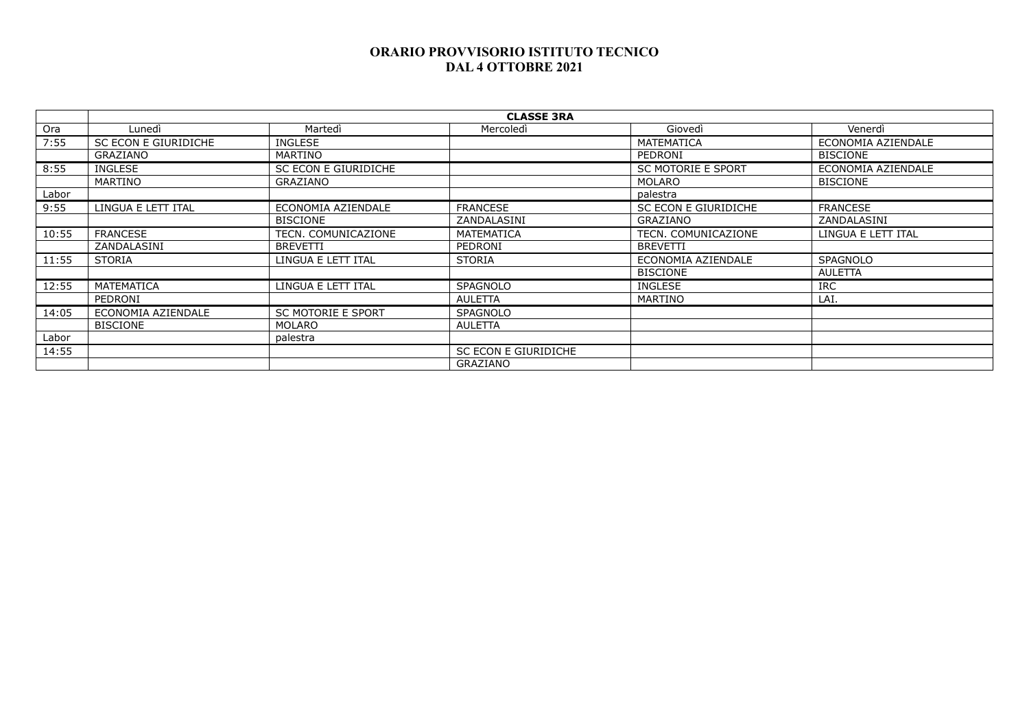|       | <b>CLASSE 3RA</b>    |                           |                      |                           |                    |  |
|-------|----------------------|---------------------------|----------------------|---------------------------|--------------------|--|
| Ora   | Lunedì               | Martedì                   | Mercoledì            | Giovedì                   | Venerdì            |  |
| 7:55  | SC ECON E GIURIDICHE | <b>INGLESE</b>            |                      | MATEMATICA                | ECONOMIA AZIENDALE |  |
|       | GRAZIANO             | <b>MARTINO</b>            |                      | PEDRONI                   | <b>BISCIONE</b>    |  |
| 8:55  | <b>INGLESE</b>       | SC ECON E GIURIDICHE      |                      | <b>SC MOTORIE E SPORT</b> | ECONOMIA AZIENDALE |  |
|       | MARTINO              | <b>GRAZIANO</b>           |                      | MOLARO                    | <b>BISCIONE</b>    |  |
| Labor |                      |                           |                      | palestra                  |                    |  |
| 9:55  | LINGUA E LETT ITAL   | ECONOMIA AZIENDALE        | <b>FRANCESE</b>      | SC ECON E GIURIDICHE      | <b>FRANCESE</b>    |  |
|       |                      | <b>BISCIONE</b>           | ZANDALASINI          | <b>GRAZIANO</b>           | ZANDALASINI        |  |
| 10:55 | <b>FRANCESE</b>      | TECN. COMUNICAZIONE       | MATEMATICA           | TECN. COMUNICAZIONE       | LINGUA E LETT ITAL |  |
|       | ZANDALASINI          | <b>BREVETTI</b>           | PEDRONI              | <b>BREVETTI</b>           |                    |  |
| 11:55 | <b>STORIA</b>        | LINGUA E LETT ITAL        | <b>STORIA</b>        | ECONOMIA AZIENDALE        | <b>SPAGNOLO</b>    |  |
|       |                      |                           |                      | <b>BISCIONE</b>           | AULETTA            |  |
| 12:55 | <b>MATEMATICA</b>    | LINGUA E LETT ITAL        | <b>SPAGNOLO</b>      | <b>INGLESE</b>            | <b>IRC</b>         |  |
|       | PEDRONI              |                           | AULETTA              | <b>MARTINO</b>            | LAI.               |  |
| 14:05 | ECONOMIA AZIENDALE   | <b>SC MOTORIE E SPORT</b> | <b>SPAGNOLO</b>      |                           |                    |  |
|       | <b>BISCIONE</b>      | MOLARO                    | <b>AULETTA</b>       |                           |                    |  |
| Labor |                      | palestra                  |                      |                           |                    |  |
| 14:55 |                      |                           | SC ECON E GIURIDICHE |                           |                    |  |
|       |                      |                           | <b>GRAZIANO</b>      |                           |                    |  |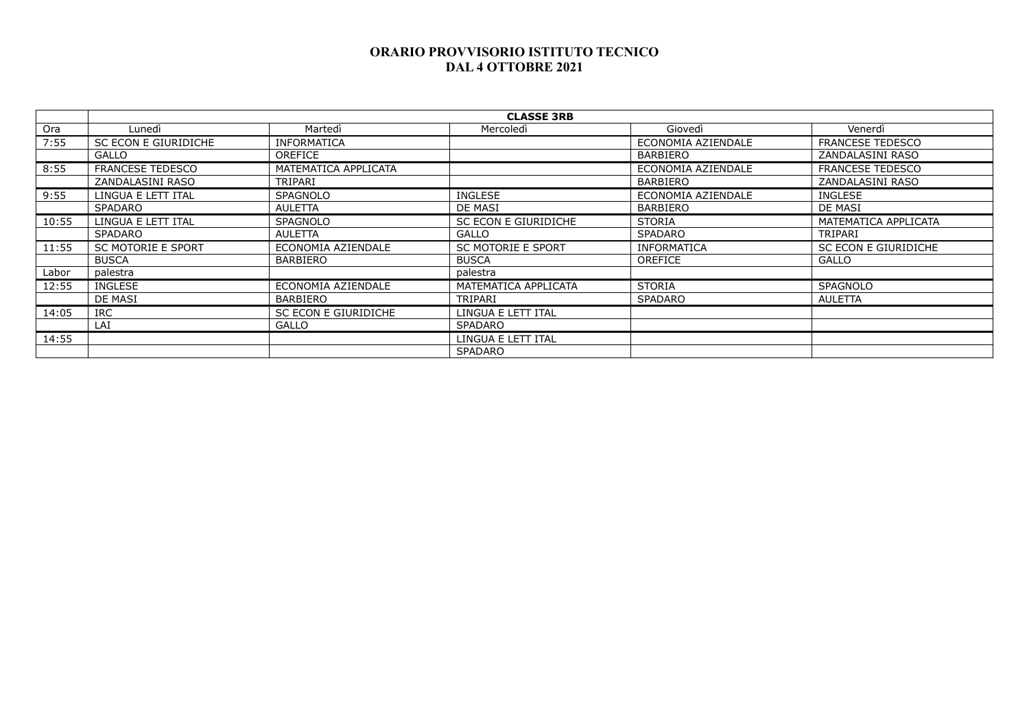|       | <b>CLASSE 3RB</b>         |                      |                           |                    |                         |  |
|-------|---------------------------|----------------------|---------------------------|--------------------|-------------------------|--|
| Ora   | Lunedì                    | Martedì              | Mercoledì                 | Giovedì            | Venerdì                 |  |
| 7:55  | SC ECON E GIURIDICHE      | <b>INFORMATICA</b>   |                           | ECONOMIA AZIENDALE | <b>FRANCESE TEDESCO</b> |  |
|       | GALLO                     | OREFICE              |                           | <b>BARBIERO</b>    | ZANDALASINI RASO        |  |
| 8:55  | FRANCESE TEDESCO          | MATEMATICA APPLICATA |                           | ECONOMIA AZIENDALE | <b>FRANCESE TEDESCO</b> |  |
|       | ZANDALASINI RASO          | TRIPARI              |                           | BARBIERO           | ZANDALASINI RASO        |  |
| 9:55  | LINGUA E LETT ITAL        | <b>SPAGNOLO</b>      | <b>INGLESE</b>            | ECONOMIA AZIENDALE | <b>INGLESE</b>          |  |
|       | SPADARO                   | AULETTA              | DE MASI                   | <b>BARBIERO</b>    | DE MASI                 |  |
| 10:55 | LINGUA E LETT ITAL        | <b>SPAGNOLO</b>      | SC ECON E GIURIDICHE      | <b>STORIA</b>      | MATEMATICA APPLICATA    |  |
|       | SPADARO                   | AULETTA              | <b>GALLO</b>              | <b>SPADARO</b>     | TRIPARI                 |  |
| 11:55 | <b>SC MOTORIE E SPORT</b> | ECONOMIA AZIENDALE   | <b>SC MOTORIE E SPORT</b> | <b>INFORMATICA</b> | SC ECON E GIURIDICHE    |  |
|       | <b>BUSCA</b>              | <b>BARBIERO</b>      | <b>BUSCA</b>              | <b>OREFICE</b>     | <b>GALLO</b>            |  |
| Labor | palestra                  |                      | palestra                  |                    |                         |  |
| 12:55 | <b>INGLESE</b>            | ECONOMIA AZIENDALE   | MATEMATICA APPLICATA      | <b>STORIA</b>      | <b>SPAGNOLO</b>         |  |
|       | DE MASI                   | <b>BARBIERO</b>      | TRIPARI                   | <b>SPADARO</b>     | AULETTA                 |  |
| 14:05 | <b>IRC</b>                | SC ECON E GIURIDICHE | LINGUA E LETT ITAL        |                    |                         |  |
|       | LAI                       | <b>GALLO</b>         | SPADARO                   |                    |                         |  |
| 14:55 |                           |                      | LINGUA E LETT ITAL        |                    |                         |  |
|       |                           |                      | <b>SPADARO</b>            |                    |                         |  |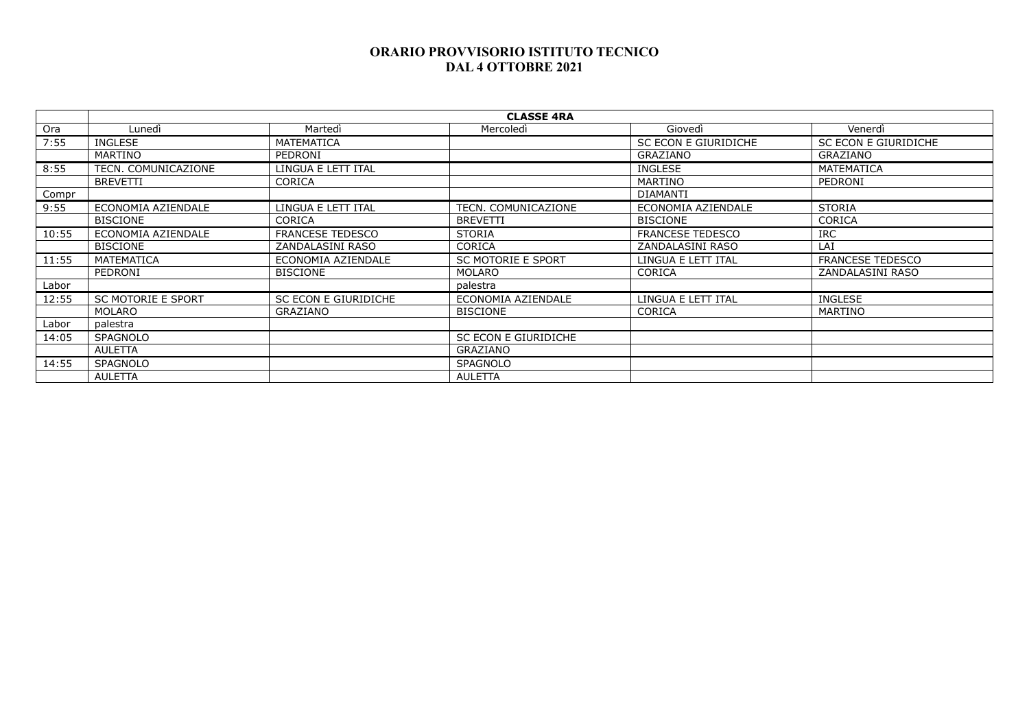|       | <b>CLASSE 4RA</b>         |                         |                           |                         |                         |  |
|-------|---------------------------|-------------------------|---------------------------|-------------------------|-------------------------|--|
| Ora   | Lunedì                    | Martedì                 | Mercoledì                 | Giovedì                 | Venerdì                 |  |
| 7:55  | <b>INGLESE</b>            | <b>MATEMATICA</b>       |                           | SC ECON E GIURIDICHE    | SC ECON E GIURIDICHE    |  |
|       | MARTINO                   | PEDRONI                 |                           | <b>GRAZIANO</b>         | GRAZIANO                |  |
| 8:55  | TECN. COMUNICAZIONE       | LINGUA E LETT ITAL      |                           | <b>INGLESE</b>          | MATEMATICA              |  |
|       | <b>BREVETTI</b>           | <b>CORICA</b>           |                           | MARTINO                 | PEDRONI                 |  |
| Compr |                           |                         |                           | <b>DIAMANTI</b>         |                         |  |
| 9:55  | ECONOMIA AZIENDALE        | LINGUA E LETT ITAL      | TECN. COMUNICAZIONE       | ECONOMIA AZIENDALE      | <b>STORIA</b>           |  |
|       | <b>BISCIONE</b>           | <b>CORICA</b>           | <b>BREVETTI</b>           | <b>BISCIONE</b>         | <b>CORICA</b>           |  |
| 10:55 | ECONOMIA AZIENDALE        | <b>FRANCESE TEDESCO</b> | <b>STORIA</b>             | <b>FRANCESE TEDESCO</b> | <b>IRC</b>              |  |
|       | <b>BISCIONE</b>           | ZANDALASINI RASO        | <b>CORICA</b>             | ZANDALASINI RASO        | LAI                     |  |
| 11:55 | MATEMATICA                | ECONOMIA AZIENDALE      | <b>SC MOTORIE E SPORT</b> | LINGUA E LETT ITAL      | <b>FRANCESE TEDESCO</b> |  |
|       | PEDRONI                   | <b>BISCIONE</b>         | MOLARO                    | <b>CORICA</b>           | ZANDALASINI RASO        |  |
| Labor |                           |                         | palestra                  |                         |                         |  |
| 12:55 | <b>SC MOTORIE E SPORT</b> | SC ECON E GIURIDICHE    | ECONOMIA AZIENDALE        | LINGUA E LETT ITAL      | <b>INGLESE</b>          |  |
|       | MOLARO                    | GRAZIANO                | <b>BISCIONE</b>           | <b>CORICA</b>           | MARTINO                 |  |
| Labor | palestra                  |                         |                           |                         |                         |  |
| 14:05 | <b>SPAGNOLO</b>           |                         | SC ECON E GIURIDICHE      |                         |                         |  |
|       | <b>AULETTA</b>            |                         | GRAZIANO                  |                         |                         |  |
| 14:55 | <b>SPAGNOLO</b>           |                         | <b>SPAGNOLO</b>           |                         |                         |  |
|       | AULETTA                   |                         | AULETTA                   |                         |                         |  |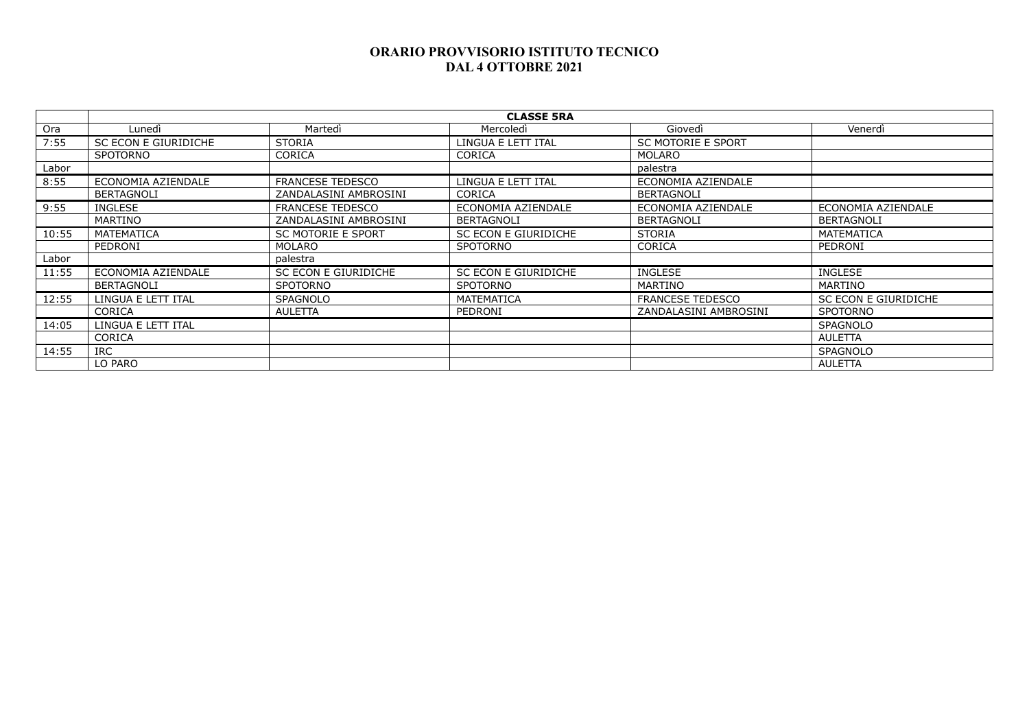|       | <b>CLASSE 5RA</b>    |                           |                      |                           |                      |  |
|-------|----------------------|---------------------------|----------------------|---------------------------|----------------------|--|
| Ora   | Lunedì               | Martedì                   | Mercoledì            | Giovedì                   | Venerdì              |  |
| 7:55  | SC ECON E GIURIDICHE | <b>STORIA</b>             | LINGUA E LETT ITAL   | <b>SC MOTORIE E SPORT</b> |                      |  |
|       | <b>SPOTORNO</b>      | <b>CORICA</b>             | <b>CORICA</b>        | MOLARO                    |                      |  |
| Labor |                      |                           |                      | palestra                  |                      |  |
| 8:55  | ECONOMIA AZIENDALE   | <b>FRANCESE TEDESCO</b>   | LINGUA E LETT ITAL   | ECONOMIA AZIENDALE        |                      |  |
|       | <b>BERTAGNOLI</b>    | ZANDALASINI AMBROSINI     | <b>CORICA</b>        | <b>BERTAGNOLI</b>         |                      |  |
| 9:55  | <b>INGLESE</b>       | <b>FRANCESE TEDESCO</b>   | ECONOMIA AZIENDALE   | ECONOMIA AZIENDALE        | ECONOMIA AZIENDALE   |  |
|       | MARTINO              | ZANDALASINI AMBROSINI     | BERTAGNOLI           | <b>BERTAGNOLI</b>         | <b>BERTAGNOLI</b>    |  |
| 10:55 | MATEMATICA           | <b>SC MOTORIE E SPORT</b> | SC ECON E GIURIDICHE | <b>STORIA</b>             | MATEMATICA           |  |
|       | PEDRONI              | <b>MOLARO</b>             | <b>SPOTORNO</b>      | <b>CORICA</b>             | PEDRONI              |  |
| Labor |                      | palestra                  |                      |                           |                      |  |
| 11:55 | ECONOMIA AZIENDALE   | SC ECON E GIURIDICHE      | SC ECON E GIURIDICHE | <b>INGLESE</b>            | INGLESE              |  |
|       | BERTAGNOLI           | <b>SPOTORNO</b>           | <b>SPOTORNO</b>      | MARTINO                   | <b>MARTINO</b>       |  |
| 12:55 | LINGUA E LETT ITAL   | <b>SPAGNOLO</b>           | MATEMATICA           | <b>FRANCESE TEDESCO</b>   | SC ECON E GIURIDICHE |  |
|       | <b>CORICA</b>        | AULETTA                   | PEDRONI              | ZANDALASINI AMBROSINI     | <b>SPOTORNO</b>      |  |
| 14:05 | LINGUA E LETT ITAL   |                           |                      |                           | <b>SPAGNOLO</b>      |  |
|       | <b>CORICA</b>        |                           |                      |                           | AULETTA              |  |
| 14:55 | <b>IRC</b>           |                           |                      |                           | <b>SPAGNOLO</b>      |  |
|       | LO PARO              |                           |                      |                           | AULETTA              |  |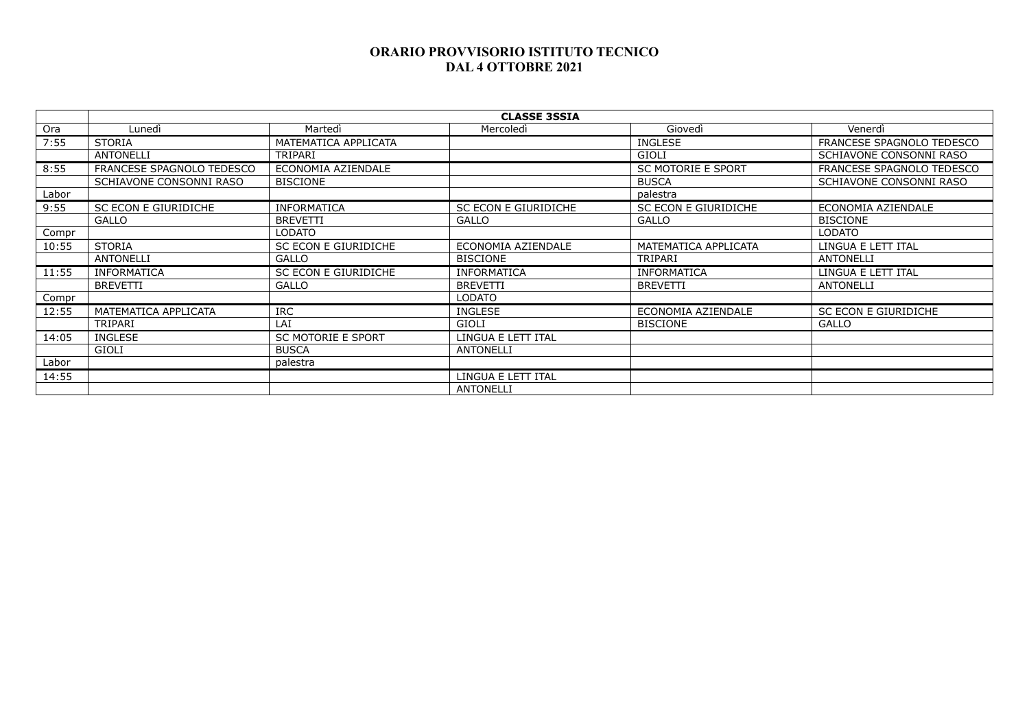|       | <b>CLASSE 3SSIA</b>       |                           |                      |                           |                           |  |  |
|-------|---------------------------|---------------------------|----------------------|---------------------------|---------------------------|--|--|
| Ora   | Lunedì                    | Martedì                   | Mercoledì            | Giovedì                   | Venerdì                   |  |  |
| 7:55  | <b>STORIA</b>             | MATEMATICA APPLICATA      |                      | <b>INGLESE</b>            | FRANCESE SPAGNOLO TEDESCO |  |  |
|       | <b>ANTONELLI</b>          | TRIPARI                   |                      | <b>GIOLI</b>              | SCHIAVONE CONSONNI RASO   |  |  |
| 8:55  | FRANCESE SPAGNOLO TEDESCO | ECONOMIA AZIENDALE        |                      | <b>SC MOTORIE E SPORT</b> | FRANCESE SPAGNOLO TEDESCO |  |  |
|       | SCHIAVONE CONSONNI RASO   | <b>BISCIONE</b>           |                      | <b>BUSCA</b>              | SCHIAVONE CONSONNI RASO   |  |  |
| Labor |                           |                           |                      | palestra                  |                           |  |  |
| 9:55  | SC ECON E GIURIDICHE      | <b>INFORMATICA</b>        | SC ECON E GIURIDICHE | SC ECON E GIURIDICHE      | ECONOMIA AZIENDALE        |  |  |
|       | <b>GALLO</b>              | <b>BREVETTI</b>           | <b>GALLO</b>         | <b>GALLO</b>              | <b>BISCIONE</b>           |  |  |
| Compr |                           | LODATO                    |                      |                           | LODATO                    |  |  |
| 10:55 | <b>STORIA</b>             | SC ECON E GIURIDICHE      | ECONOMIA AZIENDALE   | MATEMATICA APPLICATA      | LINGUA E LETT ITAL        |  |  |
|       | <b>ANTONELLI</b>          | GALLO                     | <b>BISCIONE</b>      | TRIPARI                   | <b>ANTONELLI</b>          |  |  |
| 11:55 | <b>INFORMATICA</b>        | SC ECON E GIURIDICHE      | <b>INFORMATICA</b>   | <b>INFORMATICA</b>        | LINGUA E LETT ITAL        |  |  |
|       | <b>BREVETTI</b>           | <b>GALLO</b>              | <b>BREVETTI</b>      | <b>BREVETTI</b>           | <b>ANTONELLI</b>          |  |  |
| Compr |                           |                           | <b>LODATO</b>        |                           |                           |  |  |
| 12:55 | MATEMATICA APPLICATA      | <b>IRC</b>                | <b>INGLESE</b>       | ECONOMIA AZIENDALE        | SC ECON E GIURIDICHE      |  |  |
|       | <b>TRIPARI</b>            | LAI                       | GIOLI                | <b>BISCIONE</b>           | <b>GALLO</b>              |  |  |
| 14:05 | <b>INGLESE</b>            | <b>SC MOTORIE E SPORT</b> | LINGUA E LETT ITAL   |                           |                           |  |  |
|       | GIOLI                     | <b>BUSCA</b>              | <b>ANTONELLI</b>     |                           |                           |  |  |
| Labor |                           | palestra                  |                      |                           |                           |  |  |
| 14:55 |                           |                           | LINGUA E LETT ITAL   |                           |                           |  |  |
|       |                           |                           | <b>ANTONELLI</b>     |                           |                           |  |  |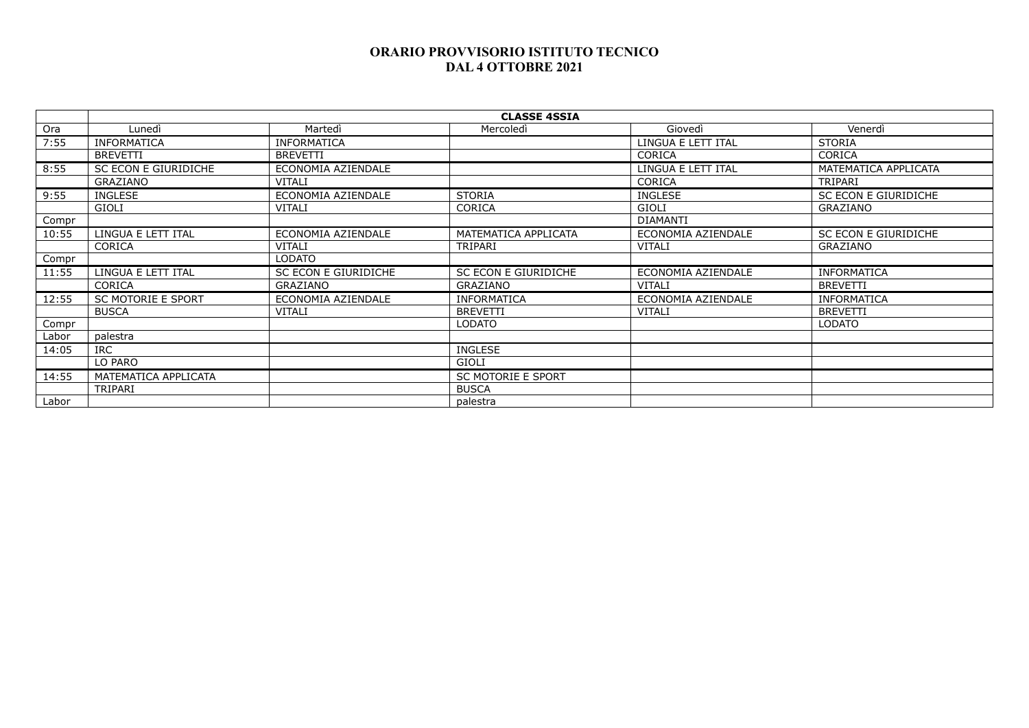|       | <b>CLASSE 4SSIA</b>       |                      |                           |                    |                      |  |
|-------|---------------------------|----------------------|---------------------------|--------------------|----------------------|--|
| Ora   | Lunedì                    | Martedì              | Mercoledì                 | Giovedì            | Venerdì              |  |
| 7:55  | <b>INFORMATICA</b>        | <b>INFORMATICA</b>   |                           | LINGUA E LETT ITAL | <b>STORIA</b>        |  |
|       | <b>BREVETTI</b>           | <b>BREVETTI</b>      |                           | <b>CORICA</b>      | <b>CORICA</b>        |  |
| 8:55  | SC ECON E GIURIDICHE      | ECONOMIA AZIENDALE   |                           | LINGUA E LETT ITAL | MATEMATICA APPLICATA |  |
|       | GRAZIANO                  | VITALI               |                           | <b>CORICA</b>      | TRIPARI              |  |
| 9:55  | INGLESE                   | ECONOMIA AZIENDALE   | <b>STORIA</b>             | <b>INGLESE</b>     | SC ECON E GIURIDICHE |  |
|       | GIOLI                     | VITALI               | <b>CORICA</b>             | GIOLI              | GRAZIANO             |  |
| Compr |                           |                      |                           | DIAMANTI           |                      |  |
| 10:55 | LINGUA E LETT ITAL        | ECONOMIA AZIENDALE   | MATEMATICA APPLICATA      | ECONOMIA AZIENDALE | SC ECON E GIURIDICHE |  |
|       | <b>CORICA</b>             | <b>VITALI</b>        | TRIPARI                   | VITALI             | GRAZIANO             |  |
| Compr |                           | <b>LODATO</b>        |                           |                    |                      |  |
| 11:55 | LINGUA E LETT ITAL        | SC ECON E GIURIDICHE | SC ECON E GIURIDICHE      | ECONOMIA AZIENDALE | <b>INFORMATICA</b>   |  |
|       | <b>CORICA</b>             | GRAZIANO             | GRAZIANO                  | <b>VITALI</b>      | <b>BREVETTI</b>      |  |
| 12:55 | <b>SC MOTORIE E SPORT</b> | ECONOMIA AZIENDALE   | <b>INFORMATICA</b>        | ECONOMIA AZIENDALE | <b>INFORMATICA</b>   |  |
|       | <b>BUSCA</b>              | <b>VITALI</b>        | <b>BREVETTI</b>           | VITALI             | <b>BREVETTI</b>      |  |
| Compr |                           |                      | <b>LODATO</b>             |                    | <b>LODATO</b>        |  |
| Labor | palestra                  |                      |                           |                    |                      |  |
| 14:05 | <b>IRC</b>                |                      | <b>INGLESE</b>            |                    |                      |  |
|       | LO PARO                   |                      | GIOLI                     |                    |                      |  |
| 14:55 | MATEMATICA APPLICATA      |                      | <b>SC MOTORIE E SPORT</b> |                    |                      |  |
|       | TRIPARI                   |                      | <b>BUSCA</b>              |                    |                      |  |
| Labor |                           |                      | palestra                  |                    |                      |  |